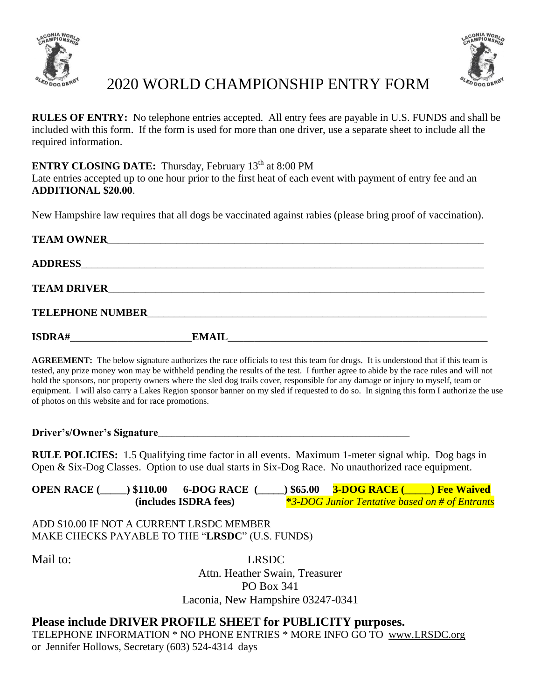



## 2020 WORLD CHAMPIONSHIP ENTRY FORM

**RULES OF ENTRY:** No telephone entries accepted. All entry fees are payable in U.S. FUNDS and shall be included with this form. If the form is used for more than one driver, use a separate sheet to include all the required information.

## **ENTRY CLOSING DATE:** Thursday, February 13<sup>th</sup> at 8:00 PM

Late entries accepted up to one hour prior to the first heat of each event with payment of entry fee and an **ADDITIONAL \$20.00**.

New Hampshire law requires that all dogs be vaccinated against rabies (please bring proof of vaccination).

| <b>TEAM OWNER</b>                                  | <u> 1980 - John Stein, Amerikaansk komponist fan de Amerikaansk komponist fan de Amerikaansk komponist fan de Am</u> |
|----------------------------------------------------|----------------------------------------------------------------------------------------------------------------------|
|                                                    |                                                                                                                      |
|                                                    |                                                                                                                      |
|                                                    |                                                                                                                      |
| <b>ISDRA#</b><br><u> 1980 - Jan Barat, prima a</u> | <b>EMAIL</b>                                                                                                         |

**AGREEMENT:** The below signature authorizes the race officials to test this team for drugs. It is understood that if this team is tested, any prize money won may be withheld pending the results of the test. I further agree to abide by the race rules and will not hold the sponsors, nor property owners where the sled dog trails cover, responsible for any damage or injury to myself, team or equipment. I will also carry a Lakes Region sponsor banner on my sled if requested to do so. In signing this form I authorize the use of photos on this website and for race promotions.

**Driver's/Owner's Signature**\_\_\_\_\_\_\_\_\_\_\_\_\_\_\_\_\_\_\_\_\_\_\_\_\_\_\_\_\_\_\_\_\_\_\_\_\_\_\_\_\_\_\_\_\_\_\_\_\_\_\_\_\_\_\_\_\_

**RULE POLICIES:** 1.5 Qualifying time factor in all events. Maximum 1-meter signal whip. Dog bags in Open & Six-Dog Classes. Option to use dual starts in Six-Dog Race. No unauthorized race equipment.

**OPEN RACE (\_\_\_\_) \$110.00 6-DOG RACE (\_\_\_\_) \$65.00 3-DOG RACE (\_\_\_\_) Fee Waived (includes ISDRA fees) (includes ISDRA fees) \****3-DOG Junior Tentative based on # of Entrants*

ADD \$10.00 IF NOT A CURRENT LRSDC MEMBER MAKE CHECKS PAYABLE TO THE "**LRSDC**" (U.S. FUNDS)

Mail to: LRSDC

Attn. Heather Swain, Treasurer PO Box 341 Laconia, New Hampshire 03247-0341

## **Please include DRIVER PROFILE SHEET for PUBLICITY purposes.**

TELEPHONE INFORMATION \* NO PHONE ENTRIES \* MORE INFO GO TO www.LRSDC.org or Jennifer Hollows, Secretary (603) 524-4314 days